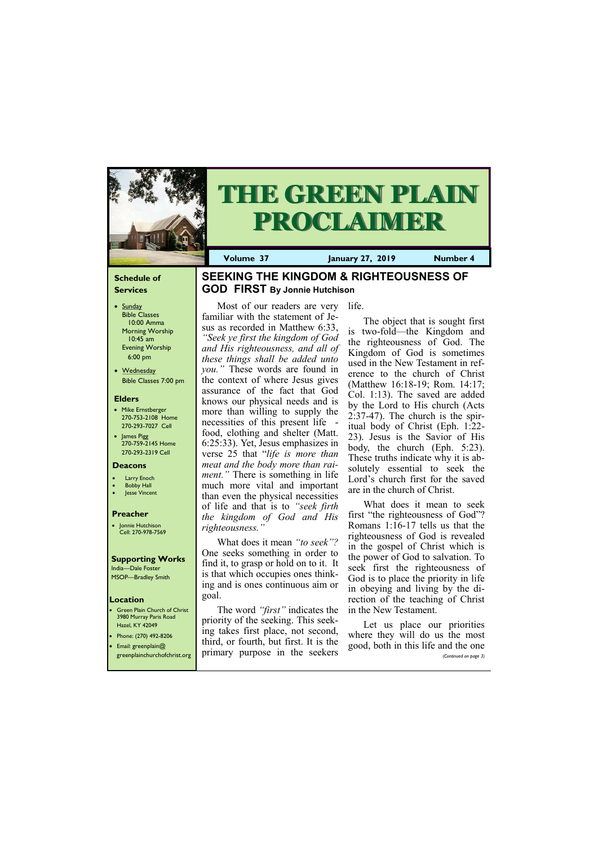### **Schedule of Services**

- Sunday Bible Classes 10:00 Amma Morning Worship 10:45 am Evening Worship 6:00 pm
- Wednesday Bible Classes 7:00 pm

### **Elders**

**Green Plain Church of Christ** 3980 Murray Paris Road Hazel, KY 42049 • Phone: (270) 492-8206

- Mike Ernstberger 270-753-2108 Home 270-293-7027 Cell
- James Pigg 270-759-2145 Home 270-293-2319 Cell

### **Location**





**Volume 37 January 27, 2019 Number 4**

### **Deacons**

- **Larry Enoch**
- **Bobby Hall**
- **Jesse Vincent**

### **Preacher**

• Jonnie Hutchison Cell: 270-978-7569

### **Supporting Works**

India—Dale Foster MSOP—Bradley Smith

## **SEEKING THE KINGDOM & RIGHTEOUSNESS OF GOD FIRST By Jonnie Hutchison**

Most of our readers are very familiar with the statement of Jesus as recorded in Matthew 6:33, *"Seek ye first the kingdom of God and His righteousness, and all of these things shall be added unto you."* These words are found in the context of where Jesus gives assurance of the fact that God knows our physical needs and is more than willing to supply the necessities of this present life food, clothing and shelter (Matt. 6:25:33). Yet, Jesus emphasizes in verse 25 that "*life is more than meat and the body more than raiment."* There is something in life much more vital and important than even the physical necessities of life and that is to *"seek firth the kingdom of God and His righteousness."*

What does it mean *"to seek"?*  One seeks something in order to find it, to grasp or hold on to it. It is that which occupies ones thinking and is ones continuous aim or goal.

| $\blacksquare$<br><b>•</b> Email: greenplain@ | third, or fourth, but first. It is the<br>greenplainchurchofchrist.org primary purpose in the seekers | where they will go go the most<br>good, both in this life and the one<br>(Continued on page 3) |
|-----------------------------------------------|-------------------------------------------------------------------------------------------------------|------------------------------------------------------------------------------------------------|
|                                               |                                                                                                       |                                                                                                |

The word *"first"* indicates the priority of the seeking. This seeking takes first place, not second,

life.

The object that is sought first is two-fold—the Kingdom and the righteousness of God. The Kingdom of God is sometimes used in the New Testament in reference to the church of Christ (Matthew 16:18-19; Rom. 14:17; Col. 1:13). The saved are added by the Lord to His church (Acts 2:37-47). The church is the spiritual body of Christ (Eph. 1:22- 23). Jesus is the Savior of His body, the church (Eph. 5:23). These truths indicate why it is absolutely essential to seek the Lord's church first for the saved are in the church of Christ.

What does it mean to seek first "the righteousness of God"? Romans 1:16-17 tells us that the righteousness of God is revealed in the gospel of Christ which is the power of God to salvation. To seek first the righteousness of God is to place the priority in life in obeying and living by the direction of the teaching of Christ in the New Testament.

Let us place our priorities where they will do us the most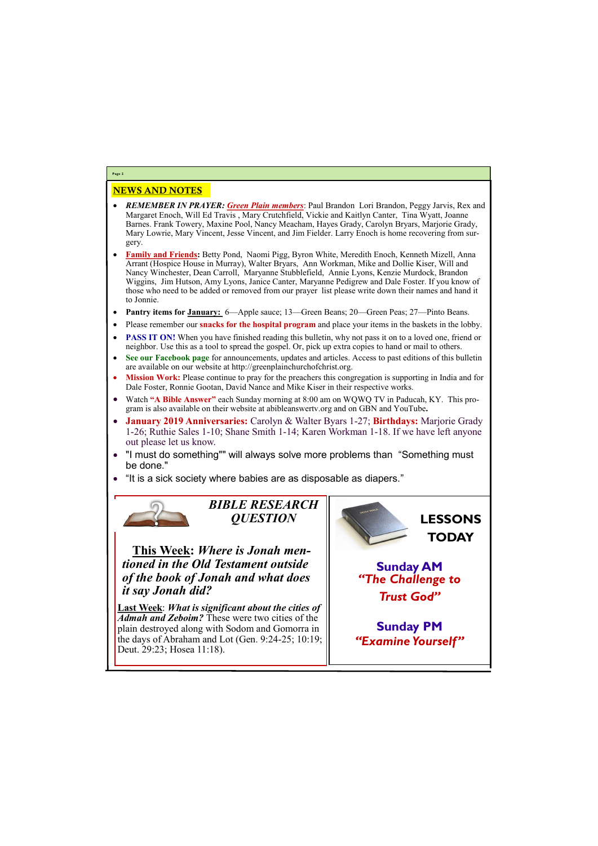# NEWS AND NOTES

- *REMEMBER IN PRAYER: Green Plain members*: Paul Brandon Lori Brandon, Peggy Jarvis, Rex and Margaret Enoch, Will Ed Travis , Mary Crutchfield, Vickie and Kaitlyn Canter, Tina Wyatt, Joanne Barnes. Frank Towery, Maxine Pool, Nancy Meacham, Hayes Grady, Carolyn Bryars, Marjorie Grady, Mary Lowrie, Mary Vincent, Jesse Vincent, and Jim Fielder. Larry Enoch is home recovering from surgery.
- **Family and Friends:** Betty Pond, Naomi Pigg, Byron White, Meredith Enoch, Kenneth Mizell, Anna Arrant (Hospice House in Murray), Walter Bryars, Ann Workman, Mike and Dollie Kiser, Will and Nancy Winchester, Dean Carroll, Maryanne Stubblefield, Annie Lyons, Kenzie Murdock, Brandon Wiggins, Jim Hutson, Amy Lyons, Janice Canter, Maryanne Pedigrew and Dale Foster. If you know of those who need to be added or removed from our prayer list please write down their names and hand it to Jonnie.
- **Pantry items for January:** 6—Apple sauce; 13—Green Beans; 20—Green Peas; 27—Pinto Beans.
- Please remember our **snacks for the hospital program** and place your items in the baskets in the lobby.
- **PASS IT ON!** When you have finished reading this bulletin, why not pass it on to a loved one, friend or neighbor. Use this as a tool to spread the gospel. Or, pick up extra copies to hand or mail to others.
- **See our Facebook page** for announcements, updates and articles. Access to past editions of this bulletin are available on our website at http://greenplainchurchofchrist.org.
- **Mission Work:** Please continue to pray for the preachers this congregation is supporting in India and for Dale Foster, Ronnie Gootan, David Nance and Mike Kiser in their respective works.
- Watch **"A Bible Answer"** each Sunday morning at 8:00 am on WQWQ TV in Paducah, KY. This program is also available on their website at abibleanswertv.org and on GBN and YouTube**.**
- **January 2019 Anniversaries:** Carolyn & Walter Byars 1-27; **Birthdays:** Marjorie Grady 1-26; Ruthie Sales 1-10; Shane Smith 1-14; Karen Workman 1-18. If we have left anyone out please let us know.
- "I must do something"" will always solve more problems than "Something must be done."
- "It is a sick society where babies are as disposable as diapers."



**Last Week**: *What is significant about the cities of Admah and Zeboim?* These were two cities of the plain destroyed along with Sodom and Gomorra in a days of  $\Lambda$  braham and Lot (Gan.  $0.24$ , 25; 10:10;

**Page 2**

*BIBLE RESEARCH QUESTION*

**This Week:** *Where is Jonah mentioned in the Old Testament outside of the book of Jonah and what does it say Jonah did?*

| Tule days of Abraham and Lot (Gen. $9.24$ -29, 10.19, III |  |
|-----------------------------------------------------------|--|
| Deut. 29:23; Hosea 11:18).                                |  |
|                                                           |  |
|                                                           |  |



**Sunday PM**

*"Examine Yourself"*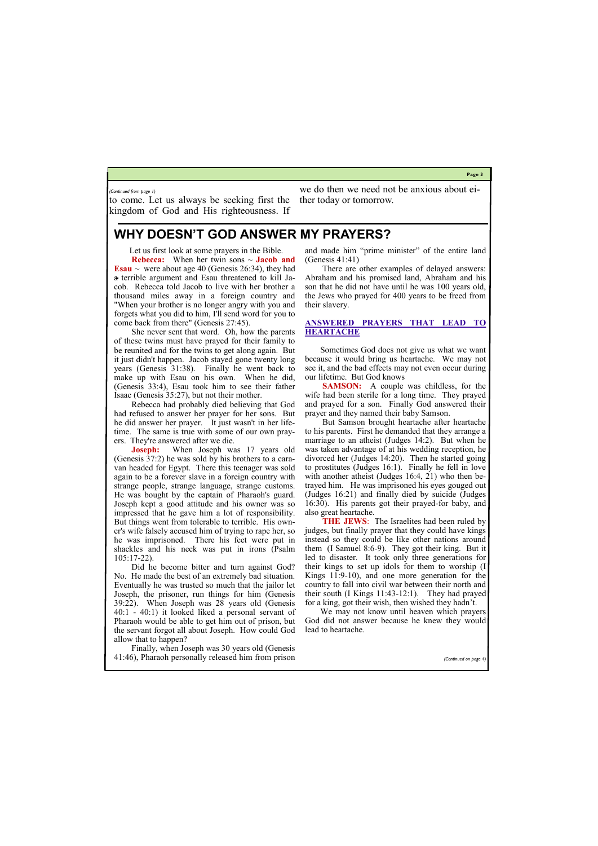**Page 3**

to come. Let us always be seeking first the kingdom of God and His righteousness. If

we do then we need not be anxious about either today or tomorrow.

*(Continued from page 1)*

# **WHY DOESN'T GOD ANSWER MY PRAYERS?**

Let us first look at some prayers in the Bible.

**Rebecca:** When her twin sons ~ **Jacob and Esau**  $\sim$  were about age 40 (Genesis 26:34), they had a terrible argument and Esau threatened to kill Jacob. Rebecca told Jacob to live with her brother a thousand miles away in a foreign country and "When your brother is no longer angry with you and forgets what you did to him, I'll send word for you to come back from there" (Genesis 27:45).

She never sent that word. Oh, how the parents of these twins must have prayed for their family to be reunited and for the twins to get along again. But it just didn't happen. Jacob stayed gone twenty long years (Genesis 31:38). Finally he went back to make up with Esau on his own. When he did, (Genesis 33:4), Esau took him to see their father Isaac (Genesis 35:27), but not their mother.

Rebecca had probably died believing that God had refused to answer her prayer for her sons. But he did answer her prayer. It just wasn't in her lifetime. The same is true with some of our own prayers. They're answered after we die.

**Joseph:** When Joseph was 17 years old (Genesis 37:2) he was sold by his brothers to a caravan headed for Egypt. There this teenager was sold again to be a forever slave in a foreign country with strange people, strange language, strange customs. He was bought by the captain of Pharaoh's guard. Joseph kept a good attitude and his owner was so impressed that he gave him a lot of responsibility. But things went from tolerable to terrible. His owner's wife falsely accused him of trying to rape her, so he was imprisoned. There his feet were put in shackles and his neck was put in irons (Psalm 105:17-22).

Did he become bitter and turn against God? No. He made the best of an extremely bad situation. Eventually he was trusted so much that the jailor let Joseph, the prisoner, run things for him (Genesis 39:22). When Joseph was 28 years old (Genesis 40:1 - 40:1) it looked liked a personal servant of Pharaoh would be able to get him out of prison, but the servant forgot all about Joseph. How could God

allow that to happen?

Finally, when Joseph was 30 years old (Genesis 41:46), Pharaoh personally released him from prison

*(Continued on page* 

and made him "prime minister" of the entire land (Genesis 41:41)

There are other examples of delayed answers: Abraham and his promised land, Abraham and his son that he did not have until he was 100 years old, the Jews who prayed for 400 years to be freed from their slavery.

### **ANSWERED PRAYERS THAT LEAD TO HEARTACHE**

Sometimes God does not give us what we want because it would bring us heartache. We may not see it, and the bad effects may not even occur during our lifetime. But God knows

**SAMSON:** A couple was childless, for the wife had been sterile for a long time. They prayed and prayed for a son. Finally God answered their prayer and they named their baby Samson.

But Samson brought heartache after heartache to his parents. First he demanded that they arrange a marriage to an atheist (Judges 14:2). But when he was taken advantage of at his wedding reception, he divorced her (Judges 14:20). Then he started going to prostitutes (Judges 16:1). Finally he fell in love with another atheist (Judges 16:4, 21) who then betrayed him. He was imprisoned his eyes gouged out (Judges 16:21) and finally died by suicide (Judges 16:30). His parents got their prayed-for baby, and also great heartache.

**THE JEWS**: The Israelites had been ruled by judges, but finally prayer that they could have kings instead so they could be like other nations around them (I Samuel 8:6-9). They got their king. But it led to disaster. It took only three generations for their kings to set up idols for them to worship (I Kings 11:9-10), and one more generation for the country to fall into civil war between their north and their south (I Kings 11:43-12:1). They had prayed for a king, got their wish, then wished they hadn't.

We may not know until heaven which prayers God did not answer because he knew they would lead to heartache.